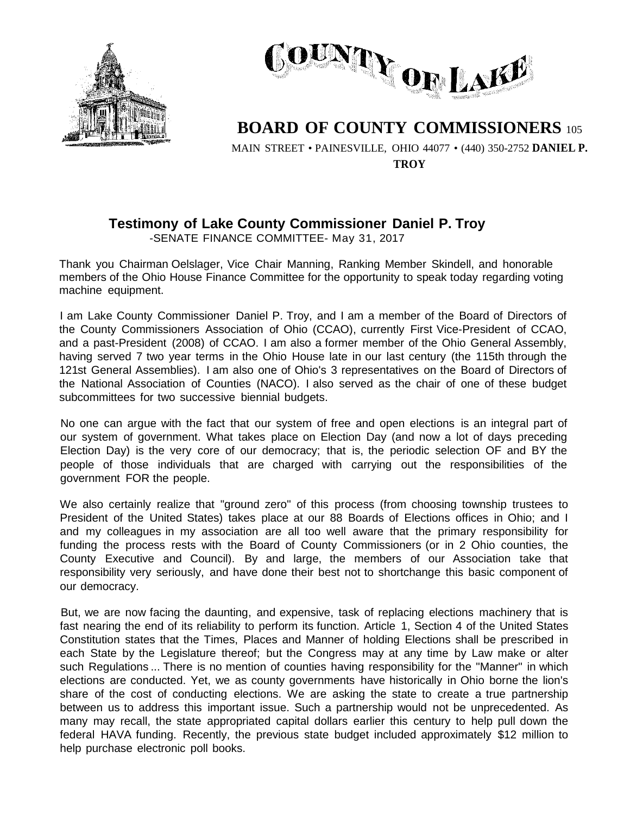



## **BOARD OF COUNTY COMMISSIONERS** <sup>105</sup>

MAIN STREET • PAINESVILLE, OHIO 44077 • (440) 350-2752 **DANIEL P. TROY**

## **Testimony of Lake County Commissioner Daniel P. Troy**

-SENATE FINANCE COMMITTEE- May 31, 2017

Thank you Chairman Oelslager, Vice Chair Manning, Ranking Member Skindell, and honorable members of the Ohio House Finance Committee for the opportunity to speak today regarding voting machine equipment.

I am Lake County Commissioner Daniel P. Troy, and I am a member of the Board of Directors of the County Commissioners Association of Ohio (CCAO), currently First Vice-President of CCAO, and a past-President (2008) of CCAO. I am also a former member of the Ohio General Assembly, having served 7 two year terms in the Ohio House late in our last century (the 115th through the 121st General Assemblies). I am also one of Ohio's 3 representatives on the Board of Directors of the National Association of Counties (NACO). I also served as the chair of one of these budget subcommittees for two successive biennial budgets.

No one can argue with the fact that our system of free and open elections is an integral part of our system of government. What takes place on Election Day (and now a lot of days preceding Election Day) is the very core of our democracy; that is, the periodic selection OF and BY the people of those individuals that are charged with carrying out the responsibilities of the government FOR the people.

We also certainly realize that "ground zero" of this process (from choosing township trustees to President of the United States) takes place at our 88 Boards of Elections offices in Ohio; and I and my colleagues in my association are all too well aware that the primary responsibility for funding the process rests with the Board of County Commissioners (or in 2 Ohio counties, the County Executive and Council). By and large, the members of our Association take that responsibility very seriously, and have done their best not to shortchange this basic component of our democracy.

But, we are now facing the daunting, and expensive, task of replacing elections machinery that is fast nearing the end of its reliability to perform its function. Article 1, Section 4 of the United States Constitution states that the Times, Places and Manner of holding Elections shall be prescribed in each State by the Legislature thereof; but the Congress may at any time by Law make or alter such Regulations ... There is no mention of counties having responsibility for the "Manner" in which elections are conducted. Yet, we as county governments have historically in Ohio borne the lion's share of the cost of conducting elections. We are asking the state to create a true partnership between us to address this important issue. Such a partnership would not be unprecedented. As many may recall, the state appropriated capital dollars earlier this century to help pull down the federal HAVA funding. Recently, the previous state budget included approximately \$12 million to help purchase electronic poll books.